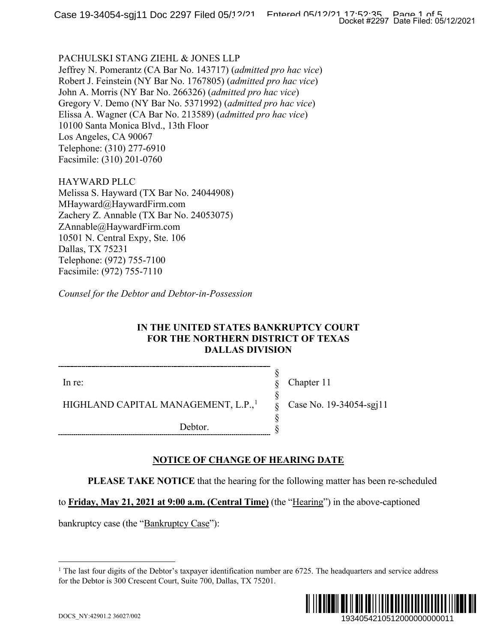### PACHULSKI STANG ZIEHL & JONES LLP

Jeffrey N. Pomerantz (CA Bar No. 143717) (*admitted pro hac vice*) Robert J. Feinstein (NY Bar No. 1767805) (*admitted pro hac vice*) John A. Morris (NY Bar No. 266326) (*admitted pro hac vice*) Gregory V. Demo (NY Bar No. 5371992) (*admitted pro hac vice*) Elissa A. Wagner (CA Bar No. 213589) (*admitted pro hac vice*) 10100 Santa Monica Blvd., 13th Floor Los Angeles, CA 90067 Telephone: (310) 277-6910 Facsimile: (310) 201-0760

HAYWARD PLLC Melissa S. Hayward (TX Bar No. 24044908) MHayward@HaywardFirm.com Zachery Z. Annable (TX Bar No. 24053075) ZAnnable@HaywardFirm.com 10501 N. Central Expy, Ste. 106 Dallas, TX 75231 Telephone: (972) 755-7100 Facsimile: (972) 755-7110

*Counsel for the Debtor and Debtor-in-Possession*

### **IN THE UNITED STATES BANKRUPTCY COURT FOR THE NORTHERN DISTRICT OF TEXAS DALLAS DIVISION**

In re:

Chapter 11

Case No. 19-34054-sgj11

HIGHLAND CAPITAL MANAGEMENT, L.P.,<sup>[1](#page-0-0)</sup>

Debtor.

## **NOTICE OF CHANGE OF HEARING DATE**

**PLEASE TAKE NOTICE** that the hearing for the following matter has been re-scheduled

§ § § § § §

to **Friday, May 21, 2021 at 9:00 a.m. (Central Time)** (the "Hearing") in the above-captioned

<span id="page-0-0"></span>bankruptcy case (the "Bankruptcy Case"):

<sup>&</sup>lt;sup>1</sup> The last four digits of the Debtor's taxpayer identification number are  $6725$ . The headquarters and service address for the Debtor is 300 Crescent Court, Suite 700, Dallas, TX 75201.

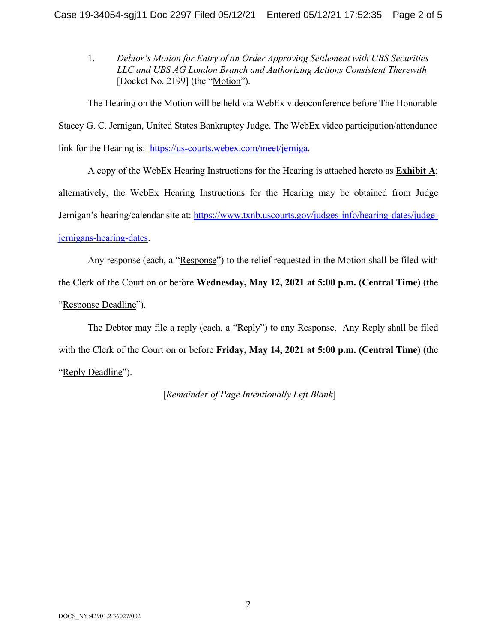1. *Debtor's Motion for Entry of an Order Approving Settlement with UBS Securities LLC and UBS AG London Branch and Authorizing Actions Consistent Therewith* [Docket No. 2199] (the "Motion").

The Hearing on the Motion will be held via WebEx videoconference before The Honorable Stacey G. C. Jernigan, United States Bankruptcy Judge. The WebEx video participation/attendance link for the Hearing is: [https://us-courts.webex.com/meet/jerniga.](https://us-courts.webex.com/meet/jerniga)

A copy of the WebEx Hearing Instructions for the Hearing is attached hereto as **Exhibit A**; alternatively, the WebEx Hearing Instructions for the Hearing may be obtained from Judge Jernigan's hearing/calendar site at: [https://www.txnb.uscourts.gov/judges-info/hearing-dates/judge](https://www.txnb.uscourts.gov/judges-info/hearing-dates/judge-jernigans-hearing-dates)[jernigans-hearing-dates.](https://www.txnb.uscourts.gov/judges-info/hearing-dates/judge-jernigans-hearing-dates)

Any response (each, a "Response") to the relief requested in the Motion shall be filed with the Clerk of the Court on or before **Wednesday, May 12, 2021 at 5:00 p.m. (Central Time)** (the "Response Deadline").

The Debtor may file a reply (each, a "Reply") to any Response. Any Reply shall be filed with the Clerk of the Court on or before **Friday, May 14, 2021 at 5:00 p.m. (Central Time)** (the "Reply Deadline").

[*Remainder of Page Intentionally Left Blank*]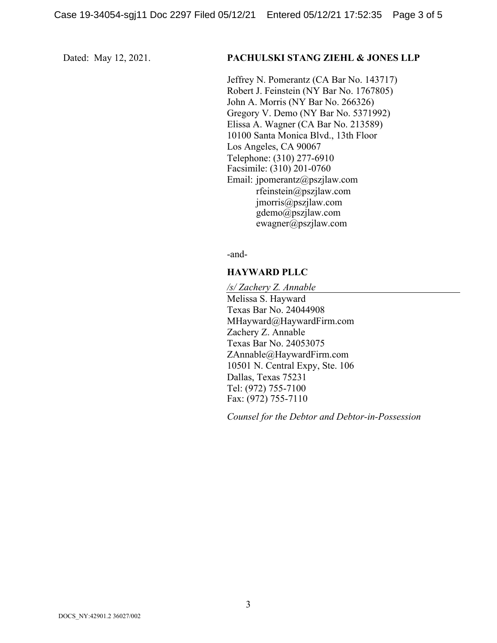### Dated: May 12, 2021. **PACHULSKI STANG ZIEHL & JONES LLP**

Jeffrey N. Pomerantz (CA Bar No. 143717) Robert J. Feinstein (NY Bar No. 1767805) John A. Morris (NY Bar No. 266326) Gregory V. Demo (NY Bar No. 5371992) Elissa A. Wagner (CA Bar No. 213589) 10100 Santa Monica Blvd., 13th Floor Los Angeles, CA 90067 Telephone: (310) 277-6910 Facsimile: (310) 201-0760 Email: jpomerantz@pszjlaw.com rfeinstein@pszjlaw.com jmorris@pszjlaw.com gdemo@pszjlaw.com ewagner@pszjlaw.com

-and-

### **HAYWARD PLLC**

*/s/ Zachery Z. Annable* Melissa S. Hayward Texas Bar No. 24044908 MHayward@HaywardFirm.com Zachery Z. Annable Texas Bar No. 24053075 ZAnnable@HaywardFirm.com 10501 N. Central Expy, Ste. 106 Dallas, Texas 75231 Tel: (972) 755-7100 Fax: (972) 755-7110

*Counsel for the Debtor and Debtor-in-Possession*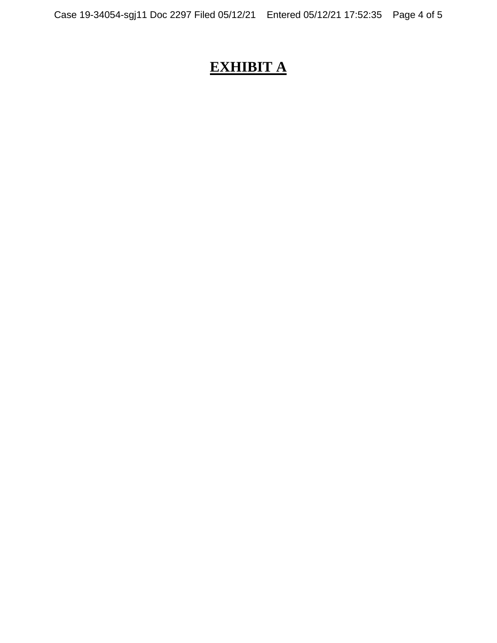# **EXHIBIT A**